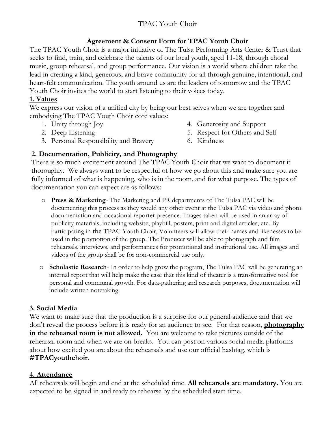# TPAC Youth Choir

## **Agreement & Consent Form for TPAC Youth Choir**

The TPAC Youth Choir is a major initiative of The Tulsa Performing Arts Center & Trust that seeks to find, train, and celebrate the talents of our local youth, aged 11-18, through choral music, group rehearsal, and group performance. Our vision is a world where children take the lead in creating a kind, generous, and brave community for all through genuine, intentional, and heart-felt communication. The youth around us are the leaders of tomorrow and the TPAC Youth Choir invites the world to start listening to their voices today.

## **1. Values**

We express our vision of a unified city by being our best selves when we are together and embodying The TPAC Youth Choir core values:

- 1. Unity through Joy
- 2. Deep Listening
- 4. Generosity and Support
- 5. Respect for Others and Self
- 3. Personal Responsibility and Bravery
- 6. Kindness

## **2. Documentation, Publicity, and Photography**

There is so much excitement around The TPAC Youth Choir that we want to document it thoroughly. We always want to be respectful of how we go about this and make sure you are fully informed of what is happening, who is in the room, and for what purpose. The types of documentation you can expect are as follows:

- o **Press & Marketing** The Marketing and PR departments of The Tulsa PAC will be documenting this process as they would any other event at the Tulsa PAC via video and photo documentation and occasional reporter presence. Images taken will be used in an array of publicity materials, including website, playbill, posters, print and digital articles, etc. By participating in the TPAC Youth Choir, Volunteers will allow their names and likenesses to be used in the promotion of the group. The Producer will be able to photograph and film rehearsals, interviews, and performances for promotional and institutional use. All images and videos of the group shall be for non-commercial use only.
- o **Scholastic Research** In order to help grow the program, The Tulsa PAC will be generating an internal report that will help make the case that this kind of theater is a transformative tool for personal and communal growth. For data-gathering and research purposes, documentation will include written notetaking.

## **3. Social Media**

We want to make sure that the production is a surprise for our general audience and that we don't reveal the process before it is ready for an audience to see. For that reason, **photography in the rehearsal room is not allowed.** You are welcome to take pictures outside of the rehearsal room and when we are on breaks. You can post on various social media platforms about how excited you are about the rehearsals and use our official hashtag, which is **#TPACyouthchoir.**

## **4. Attendance**

All rehearsals will begin and end at the scheduled time. **All rehearsals are mandatory.** You are expected to be signed in and ready to rehearse by the scheduled start time.